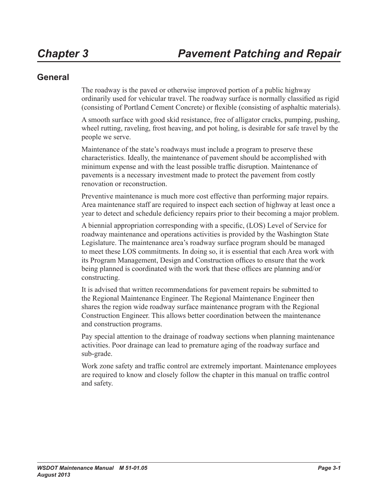### **General**

The roadway is the paved or otherwise improved portion of a public highway ordinarily used for vehicular travel. The roadway surface is normally classified as rigid (consisting of Portland Cement Concrete) or flexible (consisting of asphaltic materials).

A smooth surface with good skid resistance, free of alligator cracks, pumping, pushing, wheel rutting, raveling, frost heaving, and pot holing, is desirable for safe travel by the people we serve.

Maintenance of the state's roadways must include a program to preserve these characteristics. Ideally, the maintenance of pavement should be accomplished with minimum expense and with the least possible traffic disruption. Maintenance of pavements is a necessary investment made to protect the pavement from costly renovation or reconstruction.

Preventive maintenance is much more cost effective than performing major repairs. Area maintenance staff are required to inspect each section of highway at least once a year to detect and schedule deficiency repairs prior to their becoming a major problem.

A biennial appropriation corresponding with a specific, (LOS) Level of Service for roadway maintenance and operations activities is provided by the Washington State Legislature. The maintenance area's roadway surface program should be managed to meet these LOS commitments. In doing so, it is essential that each Area work with its Program Management, Design and Construction offices to ensure that the work being planned is coordinated with the work that these offices are planning and/or constructing.

It is advised that written recommendations for pavement repairs be submitted to the Regional Maintenance Engineer. The Regional Maintenance Engineer then shares the region wide roadway surface maintenance program with the Regional Construction Engineer. This allows better coordination between the maintenance and construction programs.

Pay special attention to the drainage of roadway sections when planning maintenance activities. Poor drainage can lead to premature aging of the roadway surface and sub-grade.

Work zone safety and traffic control are extremely important. Maintenance employees are required to know and closely follow the chapter in this manual on traffic control and safety.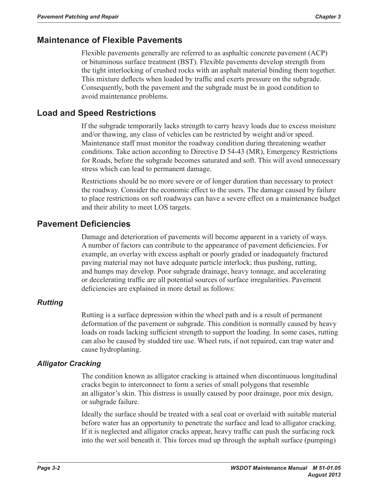### **Maintenance of Flexible Pavements**

Flexible pavements generally are referred to as asphaltic concrete pavement (ACP) or bituminous surface treatment (BST). Flexible pavements develop strength from the tight interlocking of crushed rocks with an asphalt material binding them together. This mixture deflects when loaded by traffic and exerts pressure on the subgrade. Consequently, both the pavement and the subgrade must be in good condition to avoid maintenance problems.

### **Load and Speed Restrictions**

If the subgrade temporarily lacks strength to carry heavy loads due to excess moisture and/or thawing, any class of vehicles can be restricted by weight and/or speed. Maintenance staff must monitor the roadway condition during threatening weather conditions. Take action according to Directive D 54-43 (MR), Emergency Restrictions for Roads, before the subgrade becomes saturated and soft. This will avoid unnecessary stress which can lead to permanent damage.

Restrictions should be no more severe or of longer duration than necessary to protect the roadway. Consider the economic effect to the users. The damage caused by failure to place restrictions on soft roadways can have a severe effect on a maintenance budget and their ability to meet LOS targets.

## **Pavement Deficiencies**

Damage and deterioration of pavements will become apparent in a variety of ways. A number of factors can contribute to the appearance of pavement deficiencies. For example, an overlay with excess asphalt or poorly graded or inadequately fractured paving material may not have adequate particle interlock; thus pushing, rutting, and humps may develop. Poor subgrade drainage, heavy tonnage, and accelerating or decelerating traffic are all potential sources of surface irregularities. Pavement deficiencies are explained in more detail as follows:

### *Rutting*

Rutting is a surface depression within the wheel path and is a result of permanent deformation of the pavement or subgrade. This condition is normally caused by heavy loads on roads lacking sufficient strength to support the loading. In some cases, rutting can also be caused by studded tire use. Wheel ruts, if not repaired, can trap water and cause hydroplaning.

### *Alligator Cracking*

The condition known as alligator cracking is attained when discontinuous longitudinal cracks begin to interconnect to form a series of small polygons that resemble an alligator's skin. This distress is usually caused by poor drainage, poor mix design, or subgrade failure.

Ideally the surface should be treated with a seal coat or overlaid with suitable material before water has an opportunity to penetrate the surface and lead to alligator cracking. If it is neglected and alligator cracks appear, heavy traffic can push the surfacing rock into the wet soil beneath it. This forces mud up through the asphalt surface (pumping)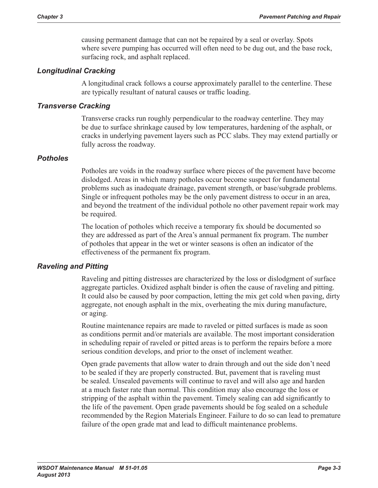causing permanent damage that can not be repaired by a seal or overlay. Spots where severe pumping has occurred will often need to be dug out, and the base rock, surfacing rock, and asphalt replaced.

### *Longitudinal Cracking*

A longitudinal crack follows a course approximately parallel to the centerline. These are typically resultant of natural causes or traffic loading.

### *Transverse Cracking*

Transverse cracks run roughly perpendicular to the roadway centerline. They may be due to surface shrinkage caused by low temperatures, hardening of the asphalt, or cracks in underlying pavement layers such as PCC slabs. They may extend partially or fully across the roadway.

### *Potholes*

Potholes are voids in the roadway surface where pieces of the pavement have become dislodged. Areas in which many potholes occur become suspect for fundamental problems such as inadequate drainage, pavement strength, or base/subgrade problems. Single or infrequent potholes may be the only pavement distress to occur in an area, and beyond the treatment of the individual pothole no other pavement repair work may be required.

The location of potholes which receive a temporary fix should be documented so they are addressed as part of the Area's annual permanent fix program. The number of potholes that appear in the wet or winter seasons is often an indicator of the effectiveness of the permanent fix program.

### *Raveling and Pitting*

Raveling and pitting distresses are characterized by the loss or dislodgment of surface aggregate particles. Oxidized asphalt binder is often the cause of raveling and pitting. It could also be caused by poor compaction, letting the mix get cold when paving, dirty aggregate, not enough asphalt in the mix, overheating the mix during manufacture, or aging.

Routine maintenance repairs are made to raveled or pitted surfaces is made as soon as conditions permit and/or materials are available. The most important consideration in scheduling repair of raveled or pitted areas is to perform the repairs before a more serious condition develops, and prior to the onset of inclement weather.

Open grade pavements that allow water to drain through and out the side don't need to be sealed if they are properly constructed. But, pavement that is raveling must be sealed. Unsealed pavements will continue to ravel and will also age and harden at a much faster rate than normal. This condition may also encourage the loss or stripping of the asphalt within the pavement. Timely sealing can add significantly to the life of the pavement. Open grade pavements should be fog sealed on a schedule recommended by the Region Materials Engineer. Failure to do so can lead to premature failure of the open grade mat and lead to difficult maintenance problems.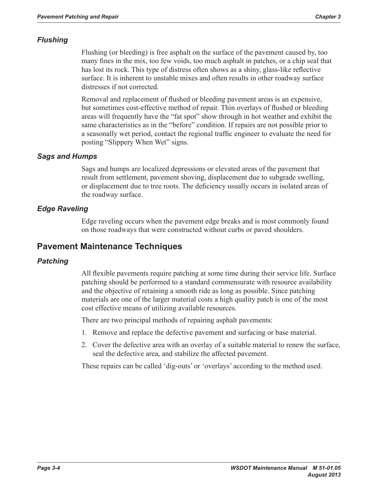### *Flushing*

Flushing (or bleeding) is free asphalt on the surface of the pavement caused by, too many fines in the mix, too few voids, too much asphalt in patches, or a chip seal that has lost its rock. This type of distress often shows as a shiny, glass-like reflective surface. It is inherent to unstable mixes and often results in other roadway surface distresses if not corrected.

Removal and replacement of flushed or bleeding pavement areas is an expensive, but sometimes cost-effective method of repair. Thin overlays of flushed or bleeding areas will frequently have the "fat spot" show through in hot weather and exhibit the same characteristics as in the "before" condition. If repairs are not possible prior to a seasonally wet period, contact the regional traffic engineer to evaluate the need for posting "Slippery When Wet" signs.

### *Sags and Humps*

Sags and humps are localized depressions or elevated areas of the pavement that result from settlement, pavement shoving, displacement due to subgrade swelling, or displacement due to tree roots. The deficiency usually occurs in isolated areas of the roadway surface.

### *Edge Raveling*

Edge raveling occurs when the pavement edge breaks and is most commonly found on those roadways that were constructed without curbs or paved shoulders.

## **Pavement Maintenance Techniques**

### *Patching*

All flexible pavements require patching at some time during their service life. Surface patching should be performed to a standard commensurate with resource availability and the objective of retaining a smooth ride as long as possible. Since patching materials are one of the larger material costs a high quality patch is one of the most cost effective means of utilizing available resources.

There are two principal methods of repairing asphalt pavements:

- 1. Remove and replace the defective pavement and surfacing or base material.
- 2. Cover the defective area with an overlay of a suitable material to renew the surface, seal the defective area, and stabilize the affected pavement.

These repairs can be called 'dig-outs' or 'overlays' according to the method used.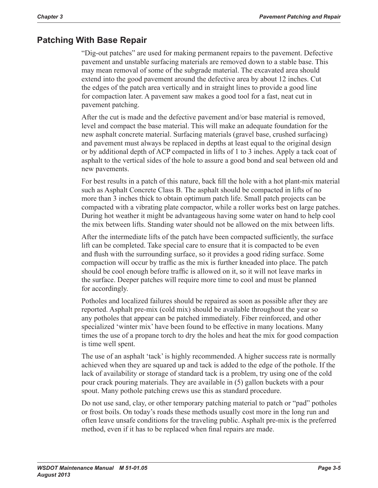## **Patching With Base Repair**

"Dig-out patches" are used for making permanent repairs to the pavement. Defective pavement and unstable surfacing materials are removed down to a stable base. This may mean removal of some of the subgrade material. The excavated area should extend into the good pavement around the defective area by about 12 inches. Cut the edges of the patch area vertically and in straight lines to provide a good line for compaction later. A pavement saw makes a good tool for a fast, neat cut in pavement patching.

After the cut is made and the defective pavement and/or base material is removed, level and compact the base material. This will make an adequate foundation for the new asphalt concrete material. Surfacing materials (gravel base, crushed surfacing) and pavement must always be replaced in depths at least equal to the original design or by additional depth of ACP compacted in lifts of 1 to 3 inches. Apply a tack coat of asphalt to the vertical sides of the hole to assure a good bond and seal between old and new pavements.

For best results in a patch of this nature, back fill the hole with a hot plant-mix material such as Asphalt Concrete Class B. The asphalt should be compacted in lifts of no more than 3 inches thick to obtain optimum patch life. Small patch projects can be compacted with a vibrating plate compactor, while a roller works best on large patches. During hot weather it might be advantageous having some water on hand to help cool the mix between lifts. Standing water should not be allowed on the mix between lifts.

After the intermediate lifts of the patch have been compacted sufficiently, the surface lift can be completed. Take special care to ensure that it is compacted to be even and flush with the surrounding surface, so it provides a good riding surface. Some compaction will occur by traffic as the mix is further kneaded into place. The patch should be cool enough before traffic is allowed on it, so it will not leave marks in the surface. Deeper patches will require more time to cool and must be planned for accordingly.

Potholes and localized failures should be repaired as soon as possible after they are reported. Asphalt pre-mix (cold mix) should be available throughout the year so any potholes that appear can be patched immediately. Fiber reinforced, and other specialized 'winter mix' have been found to be effective in many locations. Many times the use of a propane torch to dry the holes and heat the mix for good compaction is time well spent.

The use of an asphalt 'tack' is highly recommended. A higher success rate is normally achieved when they are squared up and tack is added to the edge of the pothole. If the lack of availability or storage of standard tack is a problem, try using one of the cold pour crack pouring materials. They are available in (5) gallon buckets with a pour spout. Many pothole patching crews use this as standard procedure.

Do not use sand, clay, or other temporary patching material to patch or "pad" potholes or frost boils. On today's roads these methods usually cost more in the long run and often leave unsafe conditions for the traveling public. Asphalt pre-mix is the preferred method, even if it has to be replaced when final repairs are made.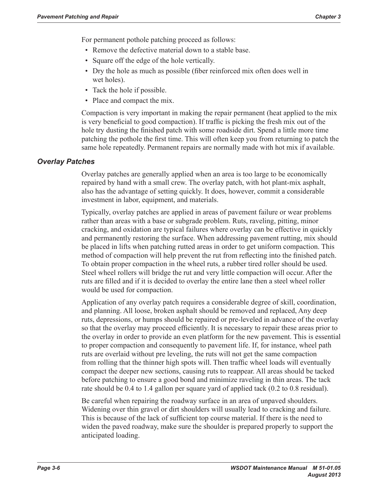For permanent pothole patching proceed as follows:

- Remove the defective material down to a stable base.
- Square off the edge of the hole vertically.
- Dry the hole as much as possible (fiber reinforced mix often does well in wet holes).
- Tack the hole if possible.
- Place and compact the mix.

Compaction is very important in making the repair permanent (heat applied to the mix is very beneficial to good compaction). If traffic is picking the fresh mix out of the hole try dusting the finished patch with some roadside dirt. Spend a little more time patching the pothole the first time. This will often keep you from returning to patch the same hole repeatedly. Permanent repairs are normally made with hot mix if available.

#### *Overlay Patches*

Overlay patches are generally applied when an area is too large to be economically repaired by hand with a small crew. The overlay patch, with hot plant-mix asphalt, also has the advantage of setting quickly. It does, however, commit a considerable investment in labor, equipment, and materials.

Typically, overlay patches are applied in areas of pavement failure or wear problems rather than areas with a base or subgrade problem. Ruts, raveling, pitting, minor cracking, and oxidation are typical failures where overlay can be effective in quickly and permanently restoring the surface. When addressing pavement rutting, mix should be placed in lifts when patching rutted areas in order to get uniform compaction. This method of compaction will help prevent the rut from reflecting into the finished patch. To obtain proper compaction in the wheel ruts, a rubber tired roller should be used. Steel wheel rollers will bridge the rut and very little compaction will occur. After the ruts are filled and if it is decided to overlay the entire lane then a steel wheel roller would be used for compaction.

Application of any overlay patch requires a considerable degree of skill, coordination, and planning. All loose, broken asphalt should be removed and replaced, Any deep ruts, depressions, or humps should be repaired or pre-leveled in advance of the overlay so that the overlay may proceed efficiently. It is necessary to repair these areas prior to the overlay in order to provide an even platform for the new pavement. This is essential to proper compaction and consequently to pavement life. If, for instance, wheel path ruts are overlaid without pre leveling, the ruts will not get the same compaction from rolling that the thinner high spots will. Then traffic wheel loads will eventually compact the deeper new sections, causing ruts to reappear. All areas should be tacked before patching to ensure a good bond and minimize raveling in thin areas. The tack rate should be 0.4 to 1.4 gallon per square yard of applied tack (0.2 to 0.8 residual).

Be careful when repairing the roadway surface in an area of unpaved shoulders. Widening over thin gravel or dirt shoulders will usually lead to cracking and failure. This is because of the lack of sufficient top course material. If there is the need to widen the paved roadway, make sure the shoulder is prepared properly to support the anticipated loading.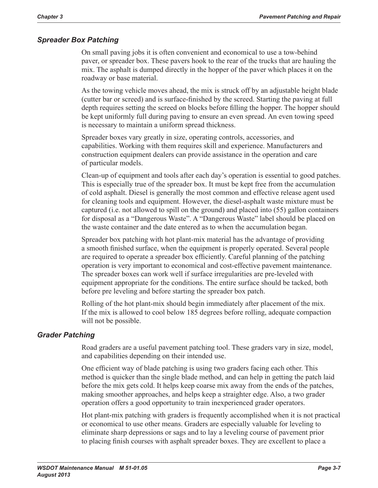### *Spreader Box Patching*

On small paving jobs it is often convenient and economical to use a tow-behind paver, or spreader box. These pavers hook to the rear of the trucks that are hauling the mix. The asphalt is dumped directly in the hopper of the paver which places it on the roadway or base material.

As the towing vehicle moves ahead, the mix is struck off by an adjustable height blade (cutter bar or screed) and is surface-finished by the screed. Starting the paving at full depth requires setting the screed on blocks before filling the hopper. The hopper should be kept uniformly full during paving to ensure an even spread. An even towing speed is necessary to maintain a uniform spread thickness.

Spreader boxes vary greatly in size, operating controls, accessories, and capabilities. Working with them requires skill and experience. Manufacturers and construction equipment dealers can provide assistance in the operation and care of particular models.

Clean-up of equipment and tools after each day's operation is essential to good patches. This is especially true of the spreader box. It must be kept free from the accumulation of cold asphalt. Diesel is generally the most common and effective release agent used for cleaning tools and equipment. However, the diesel-asphalt waste mixture must be captured (i.e. not allowed to spill on the ground) and placed into (55) gallon containers for disposal as a "Dangerous Waste". A "Dangerous Waste" label should be placed on the waste container and the date entered as to when the accumulation began.

Spreader box patching with hot plant-mix material has the advantage of providing a smooth finished surface, when the equipment is properly operated. Several people are required to operate a spreader box efficiently. Careful planning of the patching operation is very important to economical and cost-effective pavement maintenance. The spreader boxes can work well if surface irregularities are pre-leveled with equipment appropriate for the conditions. The entire surface should be tacked, both before pre leveling and before starting the spreader box patch.

Rolling of the hot plant-mix should begin immediately after placement of the mix. If the mix is allowed to cool below 185 degrees before rolling, adequate compaction will not be possible.

### *Grader Patching*

Road graders are a useful pavement patching tool. These graders vary in size, model, and capabilities depending on their intended use.

One efficient way of blade patching is using two graders facing each other. This method is quicker than the single blade method, and can help in getting the patch laid before the mix gets cold. It helps keep coarse mix away from the ends of the patches, making smoother approaches, and helps keep a straighter edge. Also, a two grader operation offers a good opportunity to train inexperienced grader operators.

Hot plant-mix patching with graders is frequently accomplished when it is not practical or economical to use other means. Graders are especially valuable for leveling to eliminate sharp depressions or sags and to lay a leveling course of pavement prior to placing finish courses with asphalt spreader boxes. They are excellent to place a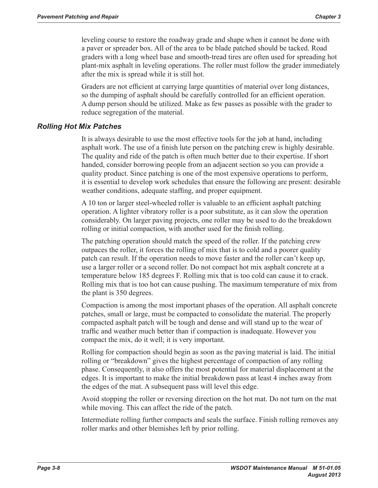leveling course to restore the roadway grade and shape when it cannot be done with a paver or spreader box. All of the area to be blade patched should be tacked. Road graders with a long wheel base and smooth-tread tires are often used for spreading hot plant-mix asphalt in leveling operations. The roller must follow the grader immediately after the mix is spread while it is still hot.

Graders are not efficient at carrying large quantities of material over long distances, so the dumping of asphalt should be carefully controlled for an efficient operation. A dump person should be utilized. Make as few passes as possible with the grader to reduce segregation of the material.

#### *Rolling Hot Mix Patches*

It is always desirable to use the most effective tools for the job at hand, including asphalt work. The use of a finish lute person on the patching crew is highly desirable. The quality and ride of the patch is often much better due to their expertise. If short handed, consider borrowing people from an adjacent section so you can provide a quality product. Since patching is one of the most expensive operations to perform, it is essential to develop work schedules that ensure the following are present: desirable weather conditions, adequate staffing, and proper equipment.

A 10 ton or larger steel-wheeled roller is valuable to an efficient asphalt patching operation. A lighter vibratory roller is a poor substitute, as it can slow the operation considerably. On larger paving projects, one roller may be used to do the breakdown rolling or initial compaction, with another used for the finish rolling.

The patching operation should match the speed of the roller. If the patching crew outpaces the roller, it forces the rolling of mix that is to cold and a poorer quality patch can result. If the operation needs to move faster and the roller can't keep up, use a larger roller or a second roller. Do not compact hot mix asphalt concrete at a temperature below 185 degrees F. Rolling mix that is too cold can cause it to crack. Rolling mix that is too hot can cause pushing. The maximum temperature of mix from the plant is 350 degrees.

Compaction is among the most important phases of the operation. All asphalt concrete patches, small or large, must be compacted to consolidate the material. The properly compacted asphalt patch will be tough and dense and will stand up to the wear of traffic and weather much better than if compaction is inadequate. However you compact the mix, do it well; it is very important.

Rolling for compaction should begin as soon as the paving material is laid. The initial rolling or "breakdown" gives the highest percentage of compaction of any rolling phase. Consequently, it also offers the most potential for material displacement at the edges. It is important to make the initial breakdown pass at least 4 inches away from the edges of the mat. A subsequent pass will level this edge.

Avoid stopping the roller or reversing direction on the hot mat. Do not turn on the mat while moving. This can affect the ride of the patch.

Intermediate rolling further compacts and seals the surface. Finish rolling removes any roller marks and other blemishes left by prior rolling.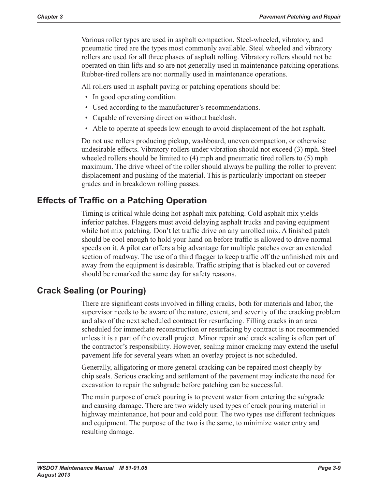Various roller types are used in asphalt compaction. Steel-wheeled, vibratory, and pneumatic tired are the types most commonly available. Steel wheeled and vibratory rollers are used for all three phases of asphalt rolling. Vibratory rollers should not be operated on thin lifts and so are not generally used in maintenance patching operations. Rubber-tired rollers are not normally used in maintenance operations.

All rollers used in asphalt paving or patching operations should be:

- In good operating condition.
- Used according to the manufacturer's recommendations.
- Capable of reversing direction without backlash.
- Able to operate at speeds low enough to avoid displacement of the hot asphalt.

Do not use rollers producing pickup, washboard, uneven compaction, or otherwise undesirable effects. Vibratory rollers under vibration should not exceed (3) mph. Steelwheeled rollers should be limited to (4) mph and pneumatic tired rollers to (5) mph maximum. The drive wheel of the roller should always be pulling the roller to prevent displacement and pushing of the material. This is particularly important on steeper grades and in breakdown rolling passes.

## **Effects of Traffic on a Patching Operation**

Timing is critical while doing hot asphalt mix patching. Cold asphalt mix yields inferior patches. Flaggers must avoid delaying asphalt trucks and paving equipment while hot mix patching. Don't let traffic drive on any unrolled mix. A finished patch should be cool enough to hold your hand on before traffic is allowed to drive normal speeds on it. A pilot car offers a big advantage for multiple patches over an extended section of roadway. The use of a third flagger to keep traffic off the unfinished mix and away from the equipment is desirable. Traffic striping that is blacked out or covered should be remarked the same day for safety reasons.

## **Crack Sealing (or Pouring)**

There are significant costs involved in filling cracks, both for materials and labor, the supervisor needs to be aware of the nature, extent, and severity of the cracking problem and also of the next scheduled contract for resurfacing. Filling cracks in an area scheduled for immediate reconstruction or resurfacing by contract is not recommended unless it is a part of the overall project. Minor repair and crack sealing is often part of the contractor's responsibility. However, sealing minor cracking may extend the useful pavement life for several years when an overlay project is not scheduled.

Generally, alligatoring or more general cracking can be repaired most cheaply by chip seals. Serious cracking and settlement of the pavement may indicate the need for excavation to repair the subgrade before patching can be successful.

The main purpose of crack pouring is to prevent water from entering the subgrade and causing damage. There are two widely used types of crack pouring material in highway maintenance, hot pour and cold pour. The two types use different techniques and equipment. The purpose of the two is the same, to minimize water entry and resulting damage.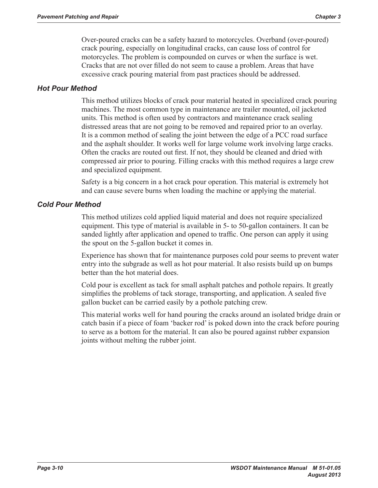Over-poured cracks can be a safety hazard to motorcycles. Overband (over-poured) crack pouring, especially on longitudinal cracks, can cause loss of control for motorcycles. The problem is compounded on curves or when the surface is wet. Cracks that are not over filled do not seem to cause a problem. Areas that have excessive crack pouring material from past practices should be addressed.

### *Hot Pour Method*

This method utilizes blocks of crack pour material heated in specialized crack pouring machines. The most common type in maintenance are trailer mounted, oil jacketed units. This method is often used by contractors and maintenance crack sealing distressed areas that are not going to be removed and repaired prior to an overlay. It is a common method of sealing the joint between the edge of a PCC road surface and the asphalt shoulder. It works well for large volume work involving large cracks. Often the cracks are routed out first. If not, they should be cleaned and dried with compressed air prior to pouring. Filling cracks with this method requires a large crew and specialized equipment.

Safety is a big concern in a hot crack pour operation. This material is extremely hot and can cause severe burns when loading the machine or applying the material.

### *Cold Pour Method*

This method utilizes cold applied liquid material and does not require specialized equipment. This type of material is available in 5- to 50-gallon containers. It can be sanded lightly after application and opened to traffic. One person can apply it using the spout on the 5-gallon bucket it comes in.

Experience has shown that for maintenance purposes cold pour seems to prevent water entry into the subgrade as well as hot pour material. It also resists build up on bumps better than the hot material does.

Cold pour is excellent as tack for small asphalt patches and pothole repairs. It greatly simplifies the problems of tack storage, transporting, and application. A sealed five gallon bucket can be carried easily by a pothole patching crew.

This material works well for hand pouring the cracks around an isolated bridge drain or catch basin if a piece of foam 'backer rod' is poked down into the crack before pouring to serve as a bottom for the material. It can also be poured against rubber expansion joints without melting the rubber joint.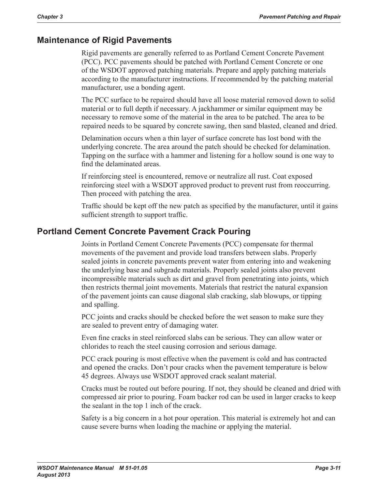## **Maintenance of Rigid Pavements**

Rigid pavements are generally referred to as Portland Cement Concrete Pavement (PCC). PCC pavements should be patched with Portland Cement Concrete or one of the WSDOT approved patching materials. Prepare and apply patching materials according to the manufacturer instructions. If recommended by the patching material manufacturer, use a bonding agent.

The PCC surface to be repaired should have all loose material removed down to solid material or to full depth if necessary. A jackhammer or similar equipment may be necessary to remove some of the material in the area to be patched. The area to be repaired needs to be squared by concrete sawing, then sand blasted, cleaned and dried.

Delamination occurs when a thin layer of surface concrete has lost bond with the underlying concrete. The area around the patch should be checked for delamination. Tapping on the surface with a hammer and listening for a hollow sound is one way to find the delaminated areas.

If reinforcing steel is encountered, remove or neutralize all rust. Coat exposed reinforcing steel with a WSDOT approved product to prevent rust from reoccurring. Then proceed with patching the area.

Traffic should be kept off the new patch as specified by the manufacturer, until it gains sufficient strength to support traffic.

## **Portland Cement Concrete Pavement Crack Pouring**

Joints in Portland Cement Concrete Pavements (PCC) compensate for thermal movements of the pavement and provide load transfers between slabs. Properly sealed joints in concrete pavements prevent water from entering into and weakening the underlying base and subgrade materials. Properly sealed joints also prevent incompressible materials such as dirt and gravel from penetrating into joints, which then restricts thermal joint movements. Materials that restrict the natural expansion of the pavement joints can cause diagonal slab cracking, slab blowups, or tipping and spalling.

PCC joints and cracks should be checked before the wet season to make sure they are sealed to prevent entry of damaging water.

Even fine cracks in steel reinforced slabs can be serious. They can allow water or chlorides to reach the steel causing corrosion and serious damage.

PCC crack pouring is most effective when the pavement is cold and has contracted and opened the cracks. Don't pour cracks when the pavement temperature is below 45 degrees. Always use WSDOT approved crack sealant material.

Cracks must be routed out before pouring. If not, they should be cleaned and dried with compressed air prior to pouring. Foam backer rod can be used in larger cracks to keep the sealant in the top 1 inch of the crack.

Safety is a big concern in a hot pour operation. This material is extremely hot and can cause severe burns when loading the machine or applying the material.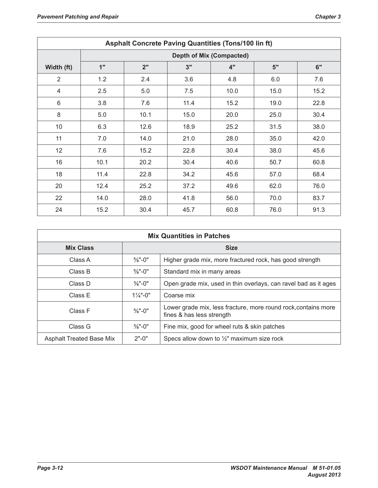| <b>Asphalt Concrete Paving Quantities (Tons/100 lin ft)</b> |                                 |      |      |      |      |      |  |  |
|-------------------------------------------------------------|---------------------------------|------|------|------|------|------|--|--|
|                                                             | <b>Depth of Mix (Compacted)</b> |      |      |      |      |      |  |  |
| Width (ft)                                                  | 1"                              | 2"   | 3"   | 4"   | 5"   | 6"   |  |  |
| $\overline{2}$                                              | 1.2                             | 2.4  | 3.6  | 4.8  | 6.0  | 7.6  |  |  |
| $\overline{4}$                                              | 2.5                             | 5.0  | 7.5  | 10.0 | 15.0 | 15.2 |  |  |
| $6\phantom{1}6$                                             | 3.8                             | 7.6  | 11.4 | 15.2 | 19.0 | 22.8 |  |  |
| 8                                                           | 5.0                             | 10.1 | 15.0 | 20.0 | 25.0 | 30.4 |  |  |
| 10                                                          | 6.3                             | 12.6 | 18.9 | 25.2 | 31.5 | 38.0 |  |  |
| 11                                                          | 7.0                             | 14.0 | 21.0 | 28.0 | 35.0 | 42.0 |  |  |
| 12                                                          | 7.6                             | 15.2 | 22.8 | 30.4 | 38.0 | 45.6 |  |  |
| 16                                                          | 10.1                            | 20.2 | 30.4 | 40.6 | 50.7 | 60.8 |  |  |
| 18                                                          | 11.4                            | 22.8 | 34.2 | 45.6 | 57.0 | 68.4 |  |  |
| 20                                                          | 12.4                            | 25.2 | 37.2 | 49.6 | 62.0 | 76.0 |  |  |
| 22                                                          | 14.0                            | 28.0 | 41.8 | 56.0 | 70.0 | 83.7 |  |  |
| 24                                                          | 15.2                            | 30.4 | 45.7 | 60.8 | 76.0 | 91.3 |  |  |

|                                 |                     | <b>Mix Quantities in Patches</b>                                                            |
|---------------------------------|---------------------|---------------------------------------------------------------------------------------------|
| <b>Mix Class</b>                |                     | <b>Size</b>                                                                                 |
| Class A                         | $\frac{5}{8}$ "-0"  | Higher grade mix, more fractured rock, has good strength                                    |
| Class B                         | $\frac{5}{8}$ "-0"  | Standard mix in many areas                                                                  |
| Class D                         | $\frac{3}{8}$ "-0"  | Open grade mix, used in thin overlays, can ravel bad as it ages                             |
| Class E                         | $1\frac{1}{4}$ "-0" | Coarse mix                                                                                  |
| Class F                         | $\frac{5}{8}$ "-0"  | Lower grade mix, less fracture, more round rock, contains more<br>fines & has less strength |
| Class G                         | $\frac{3}{8}$ "-0"  | Fine mix, good for wheel ruts & skin patches                                                |
| <b>Asphalt Treated Base Mix</b> | $2"$ -0"            | Specs allow down to $\frac{1}{2}$ " maximum size rock                                       |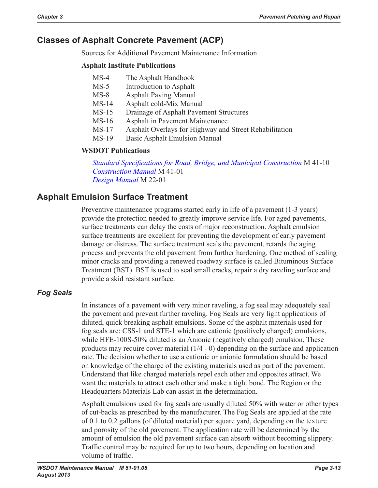# **Classes of Asphalt Concrete Pavement (ACP)**

Sources for Additional Pavement Maintenance Information

#### **Asphalt Institute Publications**

- MS-4 The Asphalt Handbook
- MS-5 Introduction to Asphalt
- MS-8 Asphalt Paving Manual
- MS-14 Asphalt cold-Mix Manual
- MS-15 Drainage of Asphalt Pavement Structures
- MS-16 Asphalt in Pavement Maintenance
- MS-17 Asphalt Overlays for Highway and Street Rehabilitation
- MS-19 Basic Asphalt Emulsion Manual

### **WSDOT Publications**

*Standard Specifications for Road, Bridge, and Municipal Construction* M 41-10 *Construction Manual* M 41-01 *Design Manual* M 22-01

## **Asphalt Emulsion Surface Treatment**

Preventive maintenance programs started early in life of a pavement (1-3 years) provide the protection needed to greatly improve service life. For aged pavements, surface treatments can delay the costs of major reconstruction. Asphalt emulsion surface treatments are excellent for preventing the development of early pavement damage or distress. The surface treatment seals the pavement, retards the aging process and prevents the old pavement from further hardening. One method of sealing minor cracks and providing a renewed roadway surface is called Bituminous Surface Treatment (BST). BST is used to seal small cracks, repair a dry raveling surface and provide a skid resistant surface.

### *Fog Seals*

In instances of a pavement with very minor raveling, a fog seal may adequately seal the pavement and prevent further raveling. Fog Seals are very light applications of diluted, quick breaking asphalt emulsions. Some of the asphalt materials used for fog seals are: CSS-1 and STE-1 which are cationic (positively charged) emulsions, while HFE-100S-50% diluted is an Anionic (negatively charged) emulsion. These products may require cover material (1/4 - 0) depending on the surface and application rate. The decision whether to use a cationic or anionic formulation should be based on knowledge of the charge of the existing materials used as part of the pavement. Understand that like charged materials repel each other and opposites attract. We want the materials to attract each other and make a tight bond. The Region or the Headquarters Materials Lab can assist in the determination.

Asphalt emulsions used for fog seals are usually diluted 50% with water or other types of cut-backs as prescribed by the manufacturer. The Fog Seals are applied at the rate of 0.1 to 0.2 gallons (of diluted material) per square yard, depending on the texture and porosity of the old pavement. The application rate will be determined by the amount of emulsion the old pavement surface can absorb without becoming slippery. Traffic control may be required for up to two hours, depending on location and volume of traffic.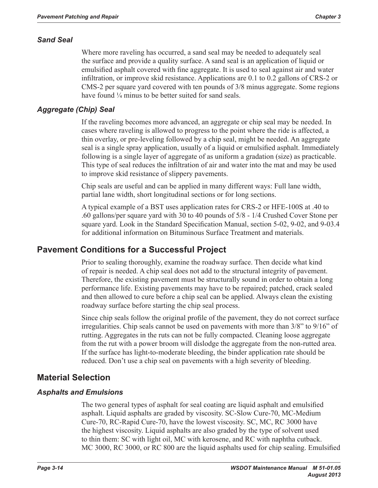### *Sand Seal*

Where more raveling has occurred, a sand seal may be needed to adequately seal the surface and provide a quality surface. A sand seal is an application of liquid or emulsified asphalt covered with fine aggregate. It is used to seal against air and water infiltration, or improve skid resistance. Applications are 0.1 to 0.2 gallons of CRS-2 or CMS-2 per square yard covered with ten pounds of 3/8 minus aggregate. Some regions have found  $\frac{1}{4}$  minus to be better suited for sand seals.

### *Aggregate (Chip) Seal*

If the raveling becomes more advanced, an aggregate or chip seal may be needed. In cases where raveling is allowed to progress to the point where the ride is affected, a thin overlay, or pre-leveling followed by a chip seal, might be needed. An aggregate seal is a single spray application, usually of a liquid or emulsified asphalt. Immediately following is a single layer of aggregate of as uniform a gradation (size) as practicable. This type of seal reduces the infiltration of air and water into the mat and may be used to improve skid resistance of slippery pavements.

Chip seals are useful and can be applied in many different ways: Full lane width, partial lane width, short longitudinal sections or for long sections.

A typical example of a BST uses application rates for CRS-2 or HFE-100S at .40 to .60 gallons/per square yard with 30 to 40 pounds of 5/8 - 1/4 Crushed Cover Stone per square yard. Look in the Standard Specification Manual, section 5-02, 9-02, and 9-03.4 for additional information on Bituminous Surface Treatment and materials.

## **Pavement Conditions for a Successful Project**

Prior to sealing thoroughly, examine the roadway surface. Then decide what kind of repair is needed. A chip seal does not add to the structural integrity of pavement. Therefore, the existing pavement must be structurally sound in order to obtain a long performance life. Existing pavements may have to be repaired; patched, crack sealed and then allowed to cure before a chip seal can be applied. Always clean the existing roadway surface before starting the chip seal process.

Since chip seals follow the original profile of the pavement, they do not correct surface irregularities. Chip seals cannot be used on pavements with more than 3/8" to 9/16" of rutting. Aggregates in the ruts can not be fully compacted. Cleaning loose aggregate from the rut with a power broom will dislodge the aggregate from the non-rutted area. If the surface has light-to-moderate bleeding, the binder application rate should be reduced. Don't use a chip seal on pavements with a high severity of bleeding.

## **Material Selection**

### *Asphalts and Emulsions*

The two general types of asphalt for seal coating are liquid asphalt and emulsified asphalt. Liquid asphalts are graded by viscosity. SC-Slow Cure-70, MC-Medium Cure-70, RC-Rapid Cure-70, have the lowest viscosity. SC, MC, RC 3000 have the highest viscosity. Liquid asphalts are also graded by the type of solvent used to thin them: SC with light oil, MC with kerosene, and RC with naphtha cutback. MC 3000, RC 3000, or RC 800 are the liquid asphalts used for chip sealing. Emulsified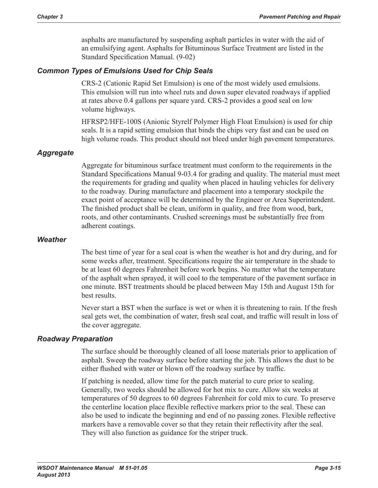asphalts are manufactured by suspending asphalt particles in water with the aid of an emulsifying agent. Asphalts for Bituminous Surface Treatment are listed in the Standard Specification Manual. (9-02)

### *Common Types of Emulsions Used for Chip Seals*

CRS-2 (Cationic Rapid Set Emulsion) is one of the most widely used emulsions. This emulsion will run into wheel ruts and down super elevated roadways if applied at rates above 0.4 gallons per square yard. CRS-2 provides a good seal on low volume highways.

HFRSP2/HFE-100S (Anionic Styrelf Polymer High Float Emulsion) is used for chip seals. It is a rapid setting emulsion that binds the chips very fast and can be used on high volume roads. This product should not bleed under high pavement temperatures.

### *Aggregate*

Aggregate for bituminous surface treatment must conform to the requirements in the Standard Specifications Manual 9-03.4 for grading and quality. The material must meet the requirements for grading and quality when placed in hauling vehicles for delivery to the roadway. During manufacture and placement into a temporary stockpile the exact point of acceptance will be determined by the Engineer or Area Superintendent. The finished product shall be clean, uniform in quality, and free from wood, bark, roots, and other contaminants. Crushed screenings must be substantially free from adherent coatings.

#### *Weather*

The best time of year for a seal coat is when the weather is hot and dry during, and for some weeks after, treatment. Specifications require the air temperature in the shade to be at least 60 degrees Fahrenheit before work begins. No matter what the temperature of the asphalt when sprayed, it will cool to the temperature of the pavement surface in one minute. BST treatments should be placed between May 15th and August 15th for best results.

Never start a BST when the surface is wet or when it is threatening to rain. If the fresh seal gets wet, the combination of water, fresh seal coat, and traffic will result in loss of the cover aggregate.

### *Roadway Preparation*

The surface should be thoroughly cleaned of all loose materials prior to application of asphalt. Sweep the roadway surface before starting the job. This allows the dust to be either flushed with water or blown off the roadway surface by traffic.

If patching is needed, allow time for the patch material to cure prior to sealing. Generally, two weeks should be allowed for hot mix to cure. Allow six weeks at temperatures of 50 degrees to 60 degrees Fahrenheit for cold mix to cure. To preserve the centerline location place flexible reflective markers prior to the seal. These can also be used to indicate the beginning and end of no passing zones. Flexible reflective markers have a removable cover so that they retain their reflectivity after the seal. They will also function as guidance for the striper truck.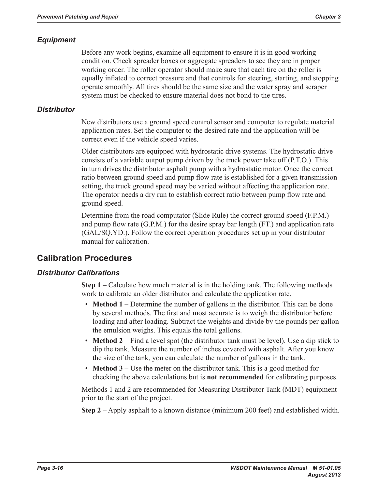### *Equipment*

Before any work begins, examine all equipment to ensure it is in good working condition. Check spreader boxes or aggregate spreaders to see they are in proper working order. The roller operator should make sure that each tire on the roller is equally inflated to correct pressure and that controls for steering, starting, and stopping operate smoothly. All tires should be the same size and the water spray and scraper system must be checked to ensure material does not bond to the tires.

### *Distributor*

New distributors use a ground speed control sensor and computer to regulate material application rates. Set the computer to the desired rate and the application will be correct even if the vehicle speed varies.

Older distributors are equipped with hydrostatic drive systems. The hydrostatic drive consists of a variable output pump driven by the truck power take off (P.T.O.). This in turn drives the distributor asphalt pump with a hydrostatic motor. Once the correct ratio between ground speed and pump flow rate is established for a given transmission setting, the truck ground speed may be varied without affecting the application rate. The operator needs a dry run to establish correct ratio between pump flow rate and ground speed.

Determine from the road computator (Slide Rule) the correct ground speed (F.P.M.) and pump flow rate (G.P.M.) for the desire spray bar length (FT.) and application rate (GAL/SQ.YD.). Follow the correct operation procedures set up in your distributor manual for calibration.

## **Calibration Procedures**

### *Distributor Calibrations*

**Step 1** – Calculate how much material is in the holding tank. The following methods work to calibrate an older distributor and calculate the application rate.

- **Method 1** Determine the number of gallons in the distributor. This can be done by several methods. The first and most accurate is to weigh the distributor before loading and after loading. Subtract the weights and divide by the pounds per gallon the emulsion weighs. This equals the total gallons.
- **Method 2** Find a level spot (the distributor tank must be level). Use a dip stick to dip the tank. Measure the number of inches covered with asphalt. After you know the size of the tank, you can calculate the number of gallons in the tank.
- **Method 3** Use the meter on the distributor tank. This is a good method for checking the above calculations but is **not recommended** for calibrating purposes.

Methods 1 and 2 are recommended for Measuring Distributor Tank (MDT) equipment prior to the start of the project.

**Step 2** – Apply asphalt to a known distance (minimum 200 feet) and established width.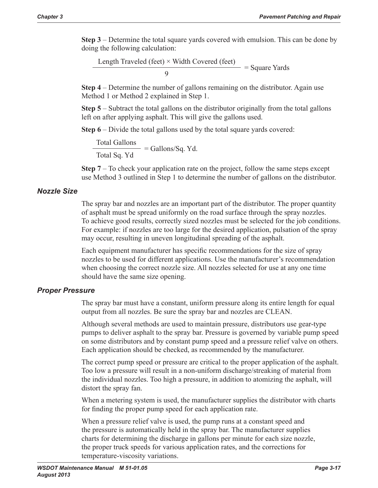**Step 3** – Determine the total square yards covered with emulsion. This can be done by doing the following calculation:

Length Traveled (feet)  $\times$  Width Covered (feet) = Square Yards

**Step 4** – Determine the number of gallons remaining on the distributor. Again use Method 1 or Method 2 explained in Step 1.

**Step 5** – Subtract the total gallons on the distributor originally from the total gallons left on after applying asphalt. This will give the gallons used.

**Step 6** – Divide the total gallons used by the total square vards covered:

Total Gallons  $\frac{1}{\text{Total Sq. Yd}}$  = Gallons/Sq. Yd.

**Step 7** – To check your application rate on the project, follow the same steps except use Method 3 outlined in Step 1 to determine the number of gallons on the distributor.

### *Nozzle Size*

The spray bar and nozzles are an important part of the distributor. The proper quantity of asphalt must be spread uniformly on the road surface through the spray nozzles. To achieve good results, correctly sized nozzles must be selected for the job conditions. For example: if nozzles are too large for the desired application, pulsation of the spray may occur, resulting in uneven longitudinal spreading of the asphalt.

Each equipment manufacturer has specific recommendations for the size of spray nozzles to be used for different applications. Use the manufacturer's recommendation when choosing the correct nozzle size. All nozzles selected for use at any one time should have the same size opening.

### *Proper Pressure*

The spray bar must have a constant, uniform pressure along its entire length for equal output from all nozzles. Be sure the spray bar and nozzles are CLEAN.

Although several methods are used to maintain pressure, distributors use gear-type pumps to deliver asphalt to the spray bar. Pressure is governed by variable pump speed on some distributors and by constant pump speed and a pressure relief valve on others. Each application should be checked, as recommended by the manufacturer.

The correct pump speed or pressure are critical to the proper application of the asphalt. Too low a pressure will result in a non-uniform discharge/streaking of material from the individual nozzles. Too high a pressure, in addition to atomizing the asphalt, will distort the spray fan.

When a metering system is used, the manufacturer supplies the distributor with charts for finding the proper pump speed for each application rate.

When a pressure relief valve is used, the pump runs at a constant speed and the pressure is automatically held in the spray bar. The manufacturer supplies charts for determining the discharge in gallons per minute for each size nozzle, the proper truck speeds for various application rates, and the corrections for temperature-viscosity variations.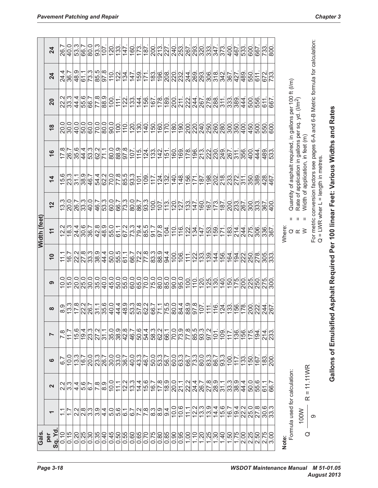|                               |                |                                                                              |                                                                                                                      |                                                  |                     |                    | Width (feet)                             |                  |                                                                                                                                                                  |                                           |                   |                     |                     |                   |
|-------------------------------|----------------|------------------------------------------------------------------------------|----------------------------------------------------------------------------------------------------------------------|--------------------------------------------------|---------------------|--------------------|------------------------------------------|------------------|------------------------------------------------------------------------------------------------------------------------------------------------------------------|-------------------------------------------|-------------------|---------------------|---------------------|-------------------|
| $\mathbf{\Omega}$             |                | ဖ                                                                            | $\overline{ }$                                                                                                       | $\infty$                                         | ၈                   | $\overline{a}$     | $\overline{1}$                           | 12               | $\overline{\bf 4}$                                                                                                                                               | ဖ                                         | $\frac{8}{1}$     | 20                  | 24                  | 24                |
|                               |                | $\overline{6.7}$                                                             | œ                                                                                                                    | 8.9                                              | 10.0                | 11.1               | 12.2                                     | 13.3             | 15.6                                                                                                                                                             | œ<br>17                                   | 20.0              | 22                  | 24.4                | 26.               |
|                               |                | 10.0                                                                         | $\frac{117}{11}$                                                                                                     | $\frac{13.3}{17.8}$                              | 15.0                | $\frac{1}{6}$      | $\sqrt{8.3}$                             | 20.0             | $\sqrt{23.3}$                                                                                                                                                    | 26.7                                      | 30.0              | $\frac{22.2}{33.3}$ | 36.7                | 40.0              |
|                               |                | $\sqrt{13.3}$                                                                |                                                                                                                      |                                                  |                     | 22.2               | 24.4                                     | $\frac{26.7}{ }$ | $\frac{311}{}$                                                                                                                                                   | 35.6                                      | 40.0              | 44.4                | 48.9                | 53.3              |
|                               |                | $\overline{16.7}$                                                            |                                                                                                                      |                                                  | $\frac{20.0}{25.0}$ | $\frac{27.8}{ }$   | 30.6                                     | $\frac{33}{3}$   | 38.9                                                                                                                                                             | 44.4                                      | $\overline{50.0}$ | 55.6                | 61.1                | 66.7              |
| $\frac{5}{2}$                 |                | ၀ ၈  <br> ၁ ၈  ၀<br> ၁ ၈   <u>၇</u>                                          | $\frac{6}{19}$<br>$\frac{1}{2}$<br>$\frac{1}{2}$<br>$\frac{1}{2}$<br>$\frac{1}{2}$<br>$\frac{1}{2}$<br>$\frac{1}{2}$ | $\sqrt{\frac{21}{25}}$                           | $\frac{ 0 }{38}$    | ကြိုတဲ့<br>ကြိုတဲ့ | 36.7                                     | 40.0             | 46.7                                                                                                                                                             | 53.3                                      | 60.0              | 66.7                | 73.3                | 80.0              |
|                               |                |                                                                              |                                                                                                                      |                                                  |                     |                    | 42.8                                     | 46.7             | 54.4                                                                                                                                                             | 62.2                                      | 70.0              | 77.8                | 85.5                | 93.3              |
|                               |                |                                                                              |                                                                                                                      |                                                  | 40.0                | 44.4               | $\frac{9}{48}$                           | 53.3             | 62.2                                                                                                                                                             | 71.1                                      | 80.0              | 88.9                | $\frac{8}{9}$       | 107               |
|                               |                | ခြင်း<br>မြို့ကြိုင်း                                                        |                                                                                                                      | 40.0                                             | 45.0                | 50.0               | 55.0                                     | 60.0             |                                                                                                                                                                  | 80.0                                      | 90.0              | 100                 | $\frac{10}{1}$      | 120               |
|                               |                |                                                                              |                                                                                                                      | 44.4                                             | 50.0                | 55.5               | 61.1                                     | 66.7             | $\frac{87}{20}$                                                                                                                                                  | 88.9                                      | $100$ .           | 111                 | 122.                | 133               |
|                               |                |                                                                              | ဗျိစ္ကုန္တုန္<br>၁၂၀၂၀၂<br>၁၂၀၂၀၂                                                                                    | ၁  က  ၁  ၁  <br>  ၁  ယ  ၁  ၁  <br> ၁  ၁  ၁  ၁  ၁ | 55.0                | 61.1               |                                          | 73.3             | 85.5                                                                                                                                                             | 97.8                                      | 110               | $\frac{22}{133}$    | 134.                | 147.              |
|                               |                | $\frac{40.0}{ }$                                                             |                                                                                                                      |                                                  | 60.0                | 66.7               | $rac{67.2}{73.3}$                        | 80.0             | $\overline{93.3}$                                                                                                                                                | 107                                       | $\overline{120}$  |                     | 147                 | 160               |
|                               |                |                                                                              |                                                                                                                      |                                                  | 65.0                | 72.2               | 79.4                                     | 86.7             | $\overline{101}$                                                                                                                                                 | 115                                       | 130.              | 144                 | $\overline{159}$    | 173               |
|                               |                |                                                                              |                                                                                                                      |                                                  |                     |                    | 85.5                                     | $\frac{3}{3}$    | 109                                                                                                                                                              |                                           | 140               |                     | 171                 | 187               |
|                               |                |                                                                              | ၂၀၂၀၂၀၂၀၂<br> ၁၂၀၂၀၂၀၂၀၂<br> ၀၂၁၂၈  ၀                                                                                |                                                  | $\frac{70.0}{75.0}$ | $\frac{8}{178}$    | $\frac{1.7}{91}$                         | $\overline{100}$ | 117.                                                                                                                                                             | $\frac{1}{2}$ $\frac{1}{2}$ $\frac{1}{2}$ | $\frac{150}{1}$   | $\frac{156}{167}$   | 183.                | 200               |
|                               |                |                                                                              |                                                                                                                      | 71.1                                             | $\overline{80.0}$   | $\frac{9}{88}$     | $\frac{8.7}{8}$                          | $\sqrt{107}$     | 124.                                                                                                                                                             |                                           | $\frac{160}{1}$   | $\sqrt{178}$        | 196.                | $\sqrt{213}$      |
|                               |                |                                                                              |                                                                                                                      |                                                  | 85.0                | 94.4               | 104.                                     | $\overline{113}$ | 132.                                                                                                                                                             | $\frac{15}{160}$                          | 170.              | 189                 |                     | $\frac{27}{240}$  |
|                               |                |                                                                              |                                                                                                                      | $\frac{5}{25}$                                   | $\frac{1}{90}$      | 100                | 110                                      | 120              | $\frac{40}{5}$                                                                                                                                                   |                                           | 180               | 200                 | $\frac{200}{220}$   |                   |
|                               |                | <br>  အမြင်းဖြစ်  အမြင်း  အမြင်း <br>  မျင်  ၁  မျင်  မျင်  မျင်  မျင်  မျင် | $\frac{ e }{ e }$                                                                                                    | 84.4                                             | 95.0                | 106.               | 116.                                     | 127              | $148$ .                                                                                                                                                          | 169                                       | 190               | $\frac{211}{222}$   | 232.                | $\frac{253}{267}$ |
|                               |                |                                                                              |                                                                                                                      | 88.9                                             | 100.                | 111                | 122.                                     | $\overline{133}$ | 156.                                                                                                                                                             | 178                                       | 200               |                     | 244.                |                   |
|                               |                |                                                                              |                                                                                                                      | 97.8                                             | $110$ .             | $\frac{2}{12}$     | 134.                                     | 147              | 171.                                                                                                                                                             | 196.                                      |                   | 244                 |                     | 293               |
|                               |                |                                                                              | ပေးပါ<br> ပေးပါ <br> ပေးပါ                                                                                           | 107                                              | 120.                |                    | 147.                                     | 160              | 187                                                                                                                                                              | $\frac{1}{2}$                             | <u>ଗ୍ରିସ୍ପୁର୍</u> | 267.                | စြစ္ပြစ္ပါ<br>လူလူဇ | 320.              |
|                               |                |                                                                              |                                                                                                                      | $\frac{11}{11}$                                  | 125.                | 139                | 153.                                     | 167              | 198.                                                                                                                                                             |                                           |                   |                     |                     |                   |
|                               |                |                                                                              | 101                                                                                                                  | 116.                                             | 130.                | 144                | $\overline{159}$ .                       | 173              | 202.                                                                                                                                                             | 230                                       | 260.              | 288                 | $\frac{1}{318}$     | 347               |
|                               |                | 93.3                                                                         | $109$ .                                                                                                              | $\frac{124}{133}$                                | $\frac{40}{5}$      | 156                | 171                                      | 187              | $\frac{218}{233}$                                                                                                                                                | 249                                       | $\frac{280}{ }$   | 311                 | 342.                | 373               |
|                               | $\frac{5}{33}$ | 100                                                                          | $117$ .                                                                                                              |                                                  | 150.                | 164                | 183.                                     | 200              |                                                                                                                                                                  | 267                                       | $\overline{300}$  | $\sqrt{33}$         | 367                 | 400               |
|                               | $\frac{9}{38}$ | 117                                                                          | $\overline{136}$                                                                                                     | 156.                                             | 175.                | 194                | $214$ .                                  | $\overline{233}$ | 272.                                                                                                                                                             | 311                                       | 350               | 389                 | 427.                | 467               |
|                               | 44.4           | 133                                                                          | $\frac{156}{1}$                                                                                                      | $\overline{178}$ .                               | 200.                | 222.               | 244.                                     | 267              | $\overline{311}$                                                                                                                                                 | 356                                       | 400               | 444                 | 489                 | 533               |
|                               |                | 150                                                                          | 175.                                                                                                                 | $\overline{200}$                                 | 225.                | 250                | 275.                                     | $\overline{300}$ | $\overline{350}$                                                                                                                                                 | $\overline{400}$                          | $\sqrt{450}$      | 500                 | 550                 | 600               |
|                               |                | 167                                                                          | 194                                                                                                                  | 222.                                             |                     | 278                | 306.                                     | 333.             | 389.                                                                                                                                                             | 44                                        | 500               | 556                 | 611                 | 667               |
| $\frac{ S }{ S }$             |                | $\frac{183}{2}$                                                              | $\frac{214}{233}$                                                                                                    | 244.                                             | 250.                | 305.               | 336.                                     | 367              | 428.                                                                                                                                                             | 489                                       | 550               | 611                 | 672.                | 733               |
| မွှ                           |                | 200                                                                          |                                                                                                                      |                                                  | $\overline{300}$    | $\overline{33}$    | 367.                                     | 400.             | 467.                                                                                                                                                             | 533.                                      | 600               | 667.                | 733.                | 800               |
|                               |                |                                                                              |                                                                                                                      |                                                  |                     |                    | Where:                                   |                  |                                                                                                                                                                  |                                           |                   |                     |                     |                   |
| Formula used for calculation: |                |                                                                              |                                                                                                                      |                                                  |                     |                    | Ш                                        |                  |                                                                                                                                                                  |                                           |                   |                     |                     |                   |
|                               |                |                                                                              |                                                                                                                      |                                                  |                     |                    | $\rm H$<br>- II<br>$\alpha \propto \geq$ |                  | Quantity of asphalt required, in gallons per 100 ft (l/m)<br>Rate of application in gallons per sq. yd. (l/m <sup>2</sup> )<br>Width of application, in feet (m) |                                           |                   |                     |                     |                   |
| $R = 11.11WR$                 |                |                                                                              |                                                                                                                      |                                                  |                     |                    |                                          |                  | For metric conversion factors see pages 6-A and 6-B Metric formula for calculation:                                                                              |                                           |                   |                     |                     |                   |
|                               |                |                                                                              |                                                                                                                      |                                                  |                     |                    |                                          |                  | $Q = LWR$ wher $L = length$ in metres.                                                                                                                           |                                           |                   |                     |                     |                   |

**Gallons of Emulsified Asphalt Required Per 100 linear Feet: Various Widths and Rates**

Gallons of Emulsified Asphalt Required Per 100 linear Feet: Various Widths and Rates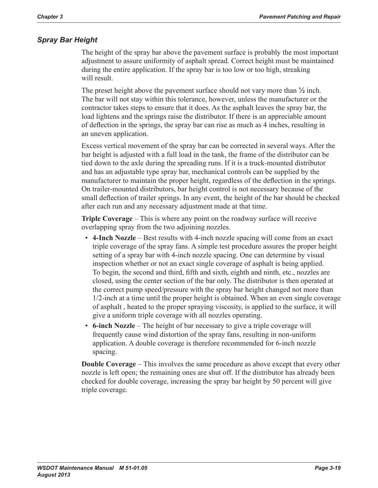### *Spray Bar Height*

The height of the spray bar above the pavement surface is probably the most important adjustment to assure uniformity of asphalt spread. Correct height must be maintained during the entire application. If the spray bar is too low or too high, streaking will result.

The preset height above the pavement surface should not vary more than  $\frac{1}{2}$  inch. The bar will not stay within this tolerance, however, unless the manufacturer or the contractor takes steps to ensure that it does. As the asphalt leaves the spray bar, the load lightens and the springs raise the distributor. If there is an appreciable amount of deflection in the springs, the spray bar can rise as much as 4 inches, resulting in an uneven application.

Excess vertical movement of the spray bar can be corrected in several ways. After the bar height is adjusted with a full load in the tank, the frame of the distributor can be tied down to the axle during the spreading runs. If it is a truck-mounted distributor and has an adjustable type spray bar, mechanical controls can be supplied by the manufacturer to maintain the proper height, regardless of the deflection in the springs. On trailer-mounted distributors, bar height control is not necessary because of the small deflection of trailer springs. In any event, the height of the bar should be checked after each run and any necessary adjustment made at that time.

**Triple Coverage** – This is where any point on the roadway surface will receive overlapping spray from the two adjoining nozzles.

- **4-Inch Nozzle** Best results with 4-inch nozzle spacing will come from an exact triple coverage of the spray fans. A simple test procedure assures the proper height setting of a spray bar with 4-inch nozzle spacing. One can determine by visual inspection whether or not an exact single coverage of asphalt is being applied. To begin, the second and third, fifth and sixth, eighth and ninth, etc., nozzles are closed, using the center section of the bar only. The distributor is then operated at the correct pump speed/pressure with the spray bar height changed not more than 1/2-inch at a time until the proper height is obtained. When an even single coverage of asphalt , heated to the proper spraying viscosity, is applied to the surface, it will give a uniform triple coverage with all nozzles operating.
- **6-inch Nozzle** The height of bar necessary to give a triple coverage will frequently cause wind distortion of the spray fans, resulting in non-uniform application. A double coverage is therefore recommended for 6-inch nozzle spacing.

**Double Coverage** – This involves the same procedure as above except that every other nozzle is left open; the remaining ones are shut off. If the distributor has already been checked for double coverage, increasing the spray bar height by 50 percent will give triple coverage.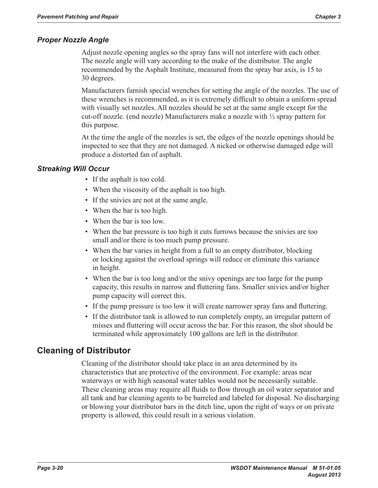### *Proper Nozzle Angle*

Adjust nozzle opening angles so the spray fans will not interfere with each other. The nozzle angle will vary according to the make of the distributor. The angle recommended by the Asphalt Institute, measured from the spray bar axis, is 15 to 30 degrees.

Manufacturers furnish special wrenches for setting the angle of the nozzles. The use of these wrenches is recommended, as it is extremely difficult to obtain a uniform spread with visually set nozzles. All nozzles should be set at the same angle except for the cut-off nozzle. (end nozzle) Manufacturers make a nozzle with  $\frac{1}{2}$  spray pattern for this purpose.

At the time the angle of the nozzles is set, the edges of the nozzle openings should be inspected to see that they are not damaged. A nicked or otherwise damaged edge will produce a distorted fan of asphalt.

### *Streaking Will Occur*

- If the asphalt is too cold.
- When the viscosity of the asphalt is too high.
- If the snivies are not at the same angle.
- When the bar is too high.
- When the bar is too low.
- When the bar pressure is too high it cuts furrows because the snivies are too small and/or there is too much pump pressure.
- When the bar varies in height from a full to an empty distributor, blocking or locking against the overload springs will reduce or eliminate this variance in height.
- When the bar is too long and/or the snivy openings are too large for the pump capacity, this results in narrow and fluttering fans. Smaller snivies and/or higher pump capacity will correct this.
- If the pump pressure is too low it will create narrower spray fans and fluttering.
- If the distributor tank is allowed to run completely empty, an irregular pattern of misses and fluttering will occur across the bar. For this reason, the shot should be terminated while approximately 100 gallons are left in the distributor.

## **Cleaning of Distributor**

Cleaning of the distributor should take place in an area determined by its characteristics that are protective of the environment. For example: areas near waterways or with high seasonal water tables would not be necessarily suitable. These cleaning areas may require all fluids to flow through an oil water separator and all tank and bar cleaning agents to be barreled and labeled for disposal. No discharging or blowing your distributor bars in the ditch line, upon the right of ways or on private property is allowed, this could result in a serious violation.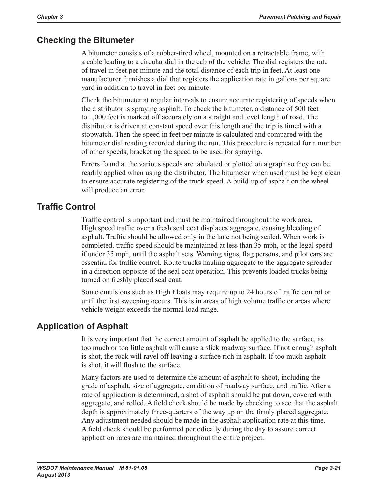## **Checking the Bitumeter**

A bitumeter consists of a rubber-tired wheel, mounted on a retractable frame, with a cable leading to a circular dial in the cab of the vehicle. The dial registers the rate of travel in feet per minute and the total distance of each trip in feet. At least one manufacturer furnishes a dial that registers the application rate in gallons per square yard in addition to travel in feet per minute.

Check the bitumeter at regular intervals to ensure accurate registering of speeds when the distributor is spraying asphalt. To check the bitumeter, a distance of 500 feet to 1,000 feet is marked off accurately on a straight and level length of road. The distributor is driven at constant speed over this length and the trip is timed with a stopwatch. Then the speed in feet per minute is calculated and compared with the bitumeter dial reading recorded during the run. This procedure is repeated for a number of other speeds, bracketing the speed to be used for spraying.

Errors found at the various speeds are tabulated or plotted on a graph so they can be readily applied when using the distributor. The bitumeter when used must be kept clean to ensure accurate registering of the truck speed. A build-up of asphalt on the wheel will produce an error.

## **Traffic Control**

Traffic control is important and must be maintained throughout the work area. High speed traffic over a fresh seal coat displaces aggregate, causing bleeding of asphalt. Traffic should be allowed only in the lane not being sealed. When work is completed, traffic speed should be maintained at less than 35 mph, or the legal speed if under 35 mph, until the asphalt sets. Warning signs, flag persons, and pilot cars are essential for traffic control. Route trucks hauling aggregate to the aggregate spreader in a direction opposite of the seal coat operation. This prevents loaded trucks being turned on freshly placed seal coat.

Some emulsions such as High Floats may require up to 24 hours of traffic control or until the first sweeping occurs. This is in areas of high volume traffic or areas where vehicle weight exceeds the normal load range.

# **Application of Asphalt**

It is very important that the correct amount of asphalt be applied to the surface, as too much or too little asphalt will cause a slick roadway surface. If not enough asphalt is shot, the rock will ravel off leaving a surface rich in asphalt. If too much asphalt is shot, it will flush to the surface.

Many factors are used to determine the amount of asphalt to shoot, including the grade of asphalt, size of aggregate, condition of roadway surface, and traffic. After a rate of application is determined, a shot of asphalt should be put down, covered with aggregate, and rolled. A field check should be made by checking to see that the asphalt depth is approximately three-quarters of the way up on the firmly placed aggregate. Any adjustment needed should be made in the asphalt application rate at this time. A field check should be performed periodically during the day to assure correct application rates are maintained throughout the entire project.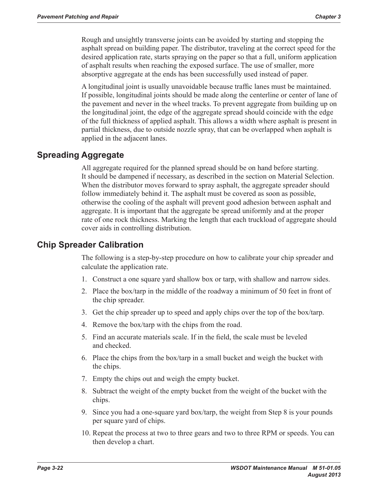Rough and unsightly transverse joints can be avoided by starting and stopping the asphalt spread on building paper. The distributor, traveling at the correct speed for the desired application rate, starts spraying on the paper so that a full, uniform application of asphalt results when reaching the exposed surface. The use of smaller, more absorptive aggregate at the ends has been successfully used instead of paper.

A longitudinal joint is usually unavoidable because traffic lanes must be maintained. If possible, longitudinal joints should be made along the centerline or center of lane of the pavement and never in the wheel tracks. To prevent aggregate from building up on the longitudinal joint, the edge of the aggregate spread should coincide with the edge of the full thickness of applied asphalt. This allows a width where asphalt is present in partial thickness, due to outside nozzle spray, that can be overlapped when asphalt is applied in the adjacent lanes.

## **Spreading Aggregate**

All aggregate required for the planned spread should be on hand before starting. It should be dampened if necessary, as described in the section on Material Selection. When the distributor moves forward to spray asphalt, the aggregate spreader should follow immediately behind it. The asphalt must be covered as soon as possible, otherwise the cooling of the asphalt will prevent good adhesion between asphalt and aggregate. It is important that the aggregate be spread uniformly and at the proper rate of one rock thickness. Marking the length that each truckload of aggregate should cover aids in controlling distribution.

### **Chip Spreader Calibration**

The following is a step-by-step procedure on how to calibrate your chip spreader and calculate the application rate.

- 1. Construct a one square yard shallow box or tarp, with shallow and narrow sides.
- 2. Place the box/tarp in the middle of the roadway a minimum of 50 feet in front of the chip spreader.
- 3. Get the chip spreader up to speed and apply chips over the top of the box/tarp.
- 4. Remove the box/tarp with the chips from the road.
- 5. Find an accurate materials scale. If in the field, the scale must be leveled and checked.
- 6. Place the chips from the box/tarp in a small bucket and weigh the bucket with the chips.
- 7. Empty the chips out and weigh the empty bucket.
- 8. Subtract the weight of the empty bucket from the weight of the bucket with the chips.
- 9. Since you had a one-square yard box/tarp, the weight from Step 8 is your pounds per square yard of chips.
- 10. Repeat the process at two to three gears and two to three RPM or speeds. You can then develop a chart.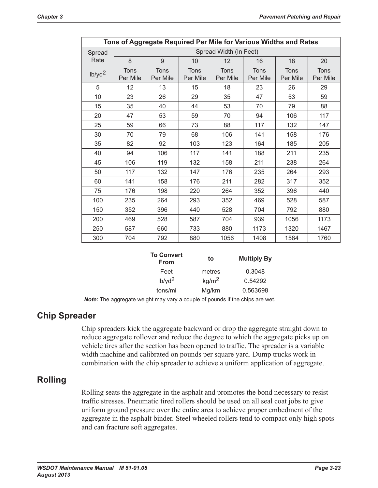| Tons of Aggregate Required Per Mile for Various Widths and Rates |                         |                         |                         |                         |                         |                         |                  |
|------------------------------------------------------------------|-------------------------|-------------------------|-------------------------|-------------------------|-------------------------|-------------------------|------------------|
| Spread                                                           | Spread Width (In Feet)  |                         |                         |                         |                         |                         |                  |
| Rate                                                             | 8                       | 9                       | 10                      | 12                      | 16                      | 18                      | 20               |
| $1b$ /yd <sup>2</sup>                                            | <b>Tons</b><br>Per Mile | <b>Tons</b><br>Per Mile | <b>Tons</b><br>Per Mile | <b>Tons</b><br>Per Mile | <b>Tons</b><br>Per Mile | <b>Tons</b><br>Per Mile | Tons<br>Per Mile |
| 5                                                                | 12                      | 13                      | 15                      | 18                      | 23                      | 26                      | 29               |
| 10                                                               | 23                      | 26                      | 29                      | 35                      | 47                      | 53                      | 59               |
| 15                                                               | 35                      | 40                      | 44                      | 53                      | 70                      | 79                      | 88               |
| 20                                                               | 47                      | 53                      | 59                      | 70                      | 94                      | 106                     | 117              |
| 25                                                               | 59                      | 66                      | 73                      | 88                      | 117                     | 132                     | 147              |
| 30                                                               | 70                      | 79                      | 68                      | 106                     | 141                     | 158                     | 176              |
| 35                                                               | 82                      | 92                      | 103                     | 123                     | 164                     | 185                     | 205              |
| 40                                                               | 94                      | 106                     | 117                     | 141                     | 188                     | 211                     | 235              |
| 45                                                               | 106                     | 119                     | 132                     | 158                     | 211                     | 238                     | 264              |
| 50                                                               | 117                     | 132                     | 147                     | 176                     | 235                     | 264                     | 293              |
| 60                                                               | 141                     | 158                     | 176                     | 211                     | 282                     | 317                     | 352              |
| 75                                                               | 176                     | 198                     | 220                     | 264                     | 352                     | 396                     | 440              |
| 100                                                              | 235                     | 264                     | 293                     | 352                     | 469                     | 528                     | 587              |
| 150                                                              | 352                     | 396                     | 440                     | 528                     | 704                     | 792                     | 880              |
| 200                                                              | 469                     | 528                     | 587                     | 704                     | 939                     | 1056                    | 1173             |
| 250                                                              | 587                     | 660                     | 733                     | 880                     | 1173                    | 1320                    | 1467             |
| 300                                                              | 704                     | 792                     | 880                     | 1056                    | 1408                    | 1584                    | 1760             |

| <b>To Convert</b><br><b>From</b> | to                | <b>Multiply By</b> |
|----------------------------------|-------------------|--------------------|
| Feet                             | metres            | 0.3048             |
| $1b$ /yd <sup>2</sup>            | kg/m <sup>2</sup> | 0.54292            |
| tons/mi                          | Mg/km             | 0.563698           |

*Note:* The aggregate weight may vary a couple of pounds if the chips are wet.

### **Chip Spreader**

Chip spreaders kick the aggregate backward or drop the aggregate straight down to reduce aggregate rollover and reduce the degree to which the aggregate picks up on vehicle tires after the section has been opened to traffic. The spreader is a variable width machine and calibrated on pounds per square yard. Dump trucks work in combination with the chip spreader to achieve a uniform application of aggregate.

### **Rolling**

Rolling seats the aggregate in the asphalt and promotes the bond necessary to resist traffic stresses. Pneumatic tired rollers should be used on all seal coat jobs to give uniform ground pressure over the entire area to achieve proper embedment of the aggregate in the asphalt binder. Steel wheeled rollers tend to compact only high spots and can fracture soft aggregates.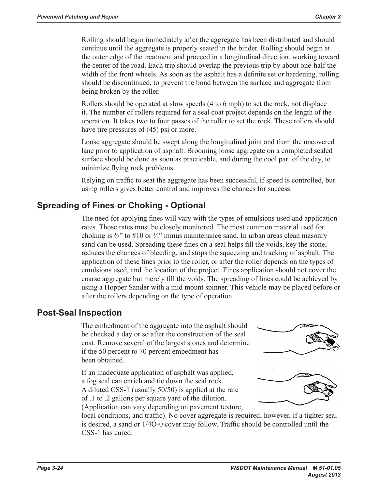Rolling should begin immediately after the aggregate has been distributed and should continue until the aggregate is properly seated in the binder. Rolling should begin at the outer edge of the treatment and proceed in a longitudinal direction, working toward the center of the road. Each trip should overlap the previous trip by about one-half the width of the front wheels. As soon as the asphalt has a definite set or hardening, rolling should be discontinued, to prevent the bond between the surface and aggregate from being broken by the roller.

Rollers should be operated at slow speeds (4 to 6 mph) to set the rock, not displace it. The number of rollers required for a seal coat project depends on the length of the operation. It takes two to four passes of the roller to set the rock. These rollers should have tire pressures of (45) psi or more.

Loose aggregate should be swept along the longitudinal joint and from the uncovered lane prior to application of asphalt. Brooming loose aggregate on a completed sealed surface should be done as soon as practicable, and during the cool part of the day, to minimize flying rock problems.

Relying on traffic to seat the aggregate has been successful, if speed is controlled, but using rollers gives better control and improves the chances for success.

## **Spreading of Fines or Choking - Optional**

The need for applying fines will vary with the types of emulsions used and application rates. Those rates must be closely monitored. The most common material used for choking is  $\frac{3}{8}$ " to #10 or  $\frac{1}{4}$ " minus maintenance sand. In urban areas clean masonry sand can be used. Spreading these fines on a seal helps fill the voids, key the stone, reduces the chances of bleeding, and stops the squeezing and tracking of asphalt. The application of these fines prior to the roller, or after the roller depends on the types of emulsions used, and the location of the project. Fines application should not cover the coarse aggregate but merely fill the voids. The spreading of fines could be achieved by using a Hopper Sander with a mid mount spinner. This vehicle may be placed before or after the rollers depending on the type of operation.

## **Post-Seal Inspection**

The embedment of the aggregate into the asphalt should be checked a day or so after the construction of the seal coat. Remove several of the largest stones and determine if the 50 percent to 70 percent embedment has been obtained.

If an inadequate application of asphalt was applied, a fog seal can enrich and tie down the seal rock. A diluted CSS‑1 (usually 50/50) is applied at the rate of .1 to .2 gallons per square yard of the dilution.

(Application can vary depending on pavement texture,





local conditions, and traffic). No cover aggregate is required; however, if a tighter seal is desired, a sand or 1/4Ó-0 cover may follow. Traffic should be controlled until the CSS‑1 has cured.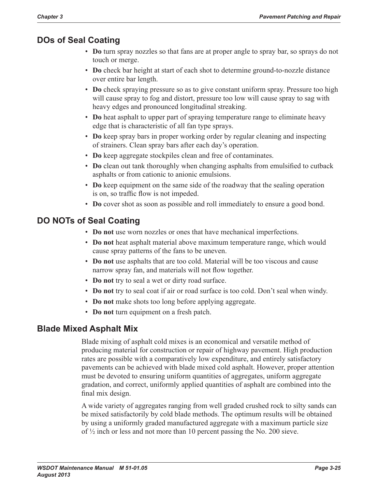## **DOs of Seal Coating**

- **Do** turn spray nozzles so that fans are at proper angle to spray bar, so sprays do not touch or merge.
- **Do** check bar height at start of each shot to determine ground-to-nozzle distance over entire bar length.
- **Do** check spraying pressure so as to give constant uniform spray. Pressure too high will cause spray to fog and distort, pressure too low will cause spray to sag with heavy edges and pronounced longitudinal streaking.
- **Do** heat asphalt to upper part of spraying temperature range to eliminate heavy edge that is characteristic of all fan type sprays.
- **Do** keep spray bars in proper working order by regular cleaning and inspecting of strainers. Clean spray bars after each day's operation.
- **Do** keep aggregate stockpiles clean and free of contaminates.
- **Do** clean out tank thoroughly when changing asphalts from emulsified to cutback asphalts or from cationic to anionic emulsions.
- **Do** keep equipment on the same side of the roadway that the sealing operation is on, so traffic flow is not impeded.
- **Do** cover shot as soon as possible and roll immediately to ensure a good bond.

# **DO NOTs of Seal Coating**

- **Do not** use worn nozzles or ones that have mechanical imperfections.
- **Do not** heat asphalt material above maximum temperature range, which would cause spray patterns of the fans to be uneven.
- **Do not** use asphalts that are too cold. Material will be too viscous and cause narrow spray fan, and materials will not flow together.
- **Do not** try to seal a wet or dirty road surface.
- **Do not** try to seal coat if air or road surface is too cold. Don't seal when windy.
- **Do not** make shots too long before applying aggregate.
- **Do not** turn equipment on a fresh patch.

# **Blade Mixed Asphalt Mix**

Blade mixing of asphalt cold mixes is an economical and versatile method of producing material for construction or repair of highway pavement. High production rates are possible with a comparatively low expenditure, and entirely satisfactory pavements can be achieved with blade mixed cold asphalt. However, proper attention must be devoted to ensuring uniform quantities of aggregates, uniform aggregate gradation, and correct, uniformly applied quantities of asphalt are combined into the final mix design.

A wide variety of aggregates ranging from well graded crushed rock to silty sands can be mixed satisfactorily by cold blade methods. The optimum results will be obtained by using a uniformly graded manufactured aggregate with a maximum particle size of ½ inch or less and not more than 10 percent passing the No. 200 sieve.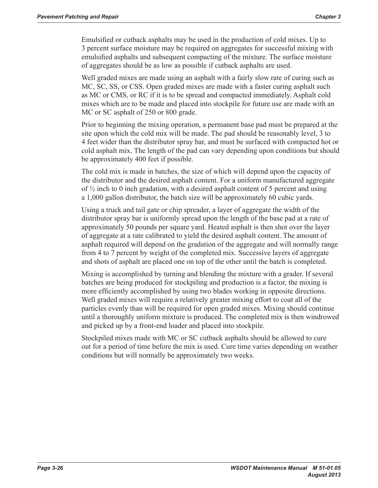Emulsified or cutback asphalts may be used in the production of cold mixes. Up to 3 percent surface moisture may be required on aggregates for successful mixing with emulsified asphalts and subsequent compacting of the mixture. The surface moisture of aggregates should be as low as possible if cutback asphalts are used.

Well graded mixes are made using an asphalt with a fairly slow rate of curing such as MC, SC, SS, or CSS. Open graded mixes are made with a faster curing asphalt such as MC or CMS, or RC if it is to be spread and compacted immediately. Asphalt cold mixes which are to be made and placed into stockpile for future use are made with an MC or SC asphalt of 250 or 800 grade.

Prior to beginning the mixing operation, a permanent base pad must be prepared at the site upon which the cold mix will be made. The pad should be reasonably level, 3 to 4 feet wider than the distributor spray bar, and must be surfaced with compacted hot or cold asphalt mix. The length of the pad can vary depending upon conditions but should be approximately 400 feet if possible.

The cold mix is made in batches, the size of which will depend upon the capacity of the distributor and the desired asphalt content. For a uniform manufactured aggregate of  $\frac{1}{2}$  inch to 0 inch gradation, with a desired asphalt content of 5 percent and using a 1,000 gallon distributor, the batch size will be approximately 60 cubic yards.

Using a truck and tail gate or chip spreader, a layer of aggregate the width of the distributor spray bar is uniformly spread upon the length of the base pad at a rate of approximately 50 pounds per square yard. Heated asphalt is then shot over the layer of aggregate at a rate calibrated to yield the desired asphalt content. The amount of asphalt required will depend on the gradation of the aggregate and will normally range from 4 to 7 percent by weight of the completed mix. Successive layers of aggregate and shots of asphalt are placed one on top of the other until the batch is completed.

Mixing is accomplished by turning and blending the mixture with a grader. If several batches are being produced for stockpiling and production is a factor, the mixing is more efficiently accomplished by using two blades working in opposite directions. Well graded mixes will require a relatively greater mixing effort to coat all of the particles evenly than will be required for open graded mixes. Mixing should continue until a thoroughly uniform mixture is produced. The completed mix is then windrowed and picked up by a front-end loader and placed into stockpile.

Stockpiled mixes made with MC or SC cutback asphalts should be allowed to cure out for a period of time before the mix is used. Cure time varies depending on weather conditions but will normally be approximately two weeks.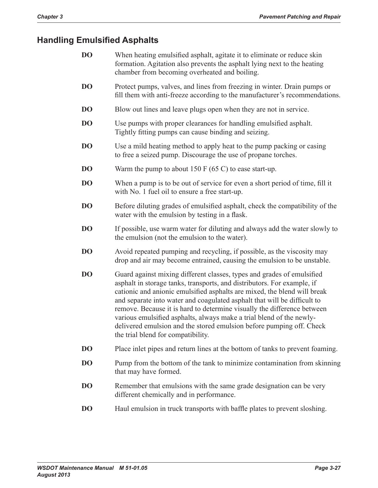## **Handling Emulsified Asphalts**

| <b>DO</b> | When heating emulsified asphalt, agitate it to eliminate or reduce skin  |
|-----------|--------------------------------------------------------------------------|
|           | formation. Agitation also prevents the asphalt lying next to the heating |
|           | chamber from becoming overheated and boiling.                            |

- **DO** Protect pumps, valves, and lines from freezing in winter. Drain pumps or fill them with anti-freeze according to the manufacturer's recommendations.
- **DO** Blow out lines and leave plugs open when they are not in service.
- **DO** Use pumps with proper clearances for handling emulsified asphalt. Tightly fitting pumps can cause binding and seizing.
- **DO** Use a mild heating method to apply heat to the pump packing or casing to free a seized pump. Discourage the use of propane torches.
- **DO** Warm the pump to about 150 F (65 C) to ease start-up.
- **DO** When a pump is to be out of service for even a short period of time, fill it with No. 1 fuel oil to ensure a free start-up.
- **DO** Before diluting grades of emulsified asphalt, check the compatibility of the water with the emulsion by testing in a flask.
- **DO** If possible, use warm water for diluting and always add the water slowly to the emulsion (not the emulsion to the water).
- **DO** Avoid repeated pumping and recycling, if possible, as the viscosity may drop and air may become entrained, causing the emulsion to be unstable.
- **DO** Guard against mixing different classes, types and grades of emulsified asphalt in storage tanks, transports, and distributors. For example, if cationic and anionic emulsified asphalts are mixed, the blend will break and separate into water and coagulated asphalt that will be difficult to remove. Because it is hard to determine visually the difference between various emulsified asphalts, always make a trial blend of the newlydelivered emulsion and the stored emulsion before pumping off. Check the trial blend for compatibility.
- **DO** Place inlet pipes and return lines at the bottom of tanks to prevent foaming.
- **DO** Pump from the bottom of the tank to minimize contamination from skinning that may have formed.
- **DO** Remember that emulsions with the same grade designation can be very different chemically and in performance.
- **DO** Haul emulsion in truck transports with baffle plates to prevent sloshing.